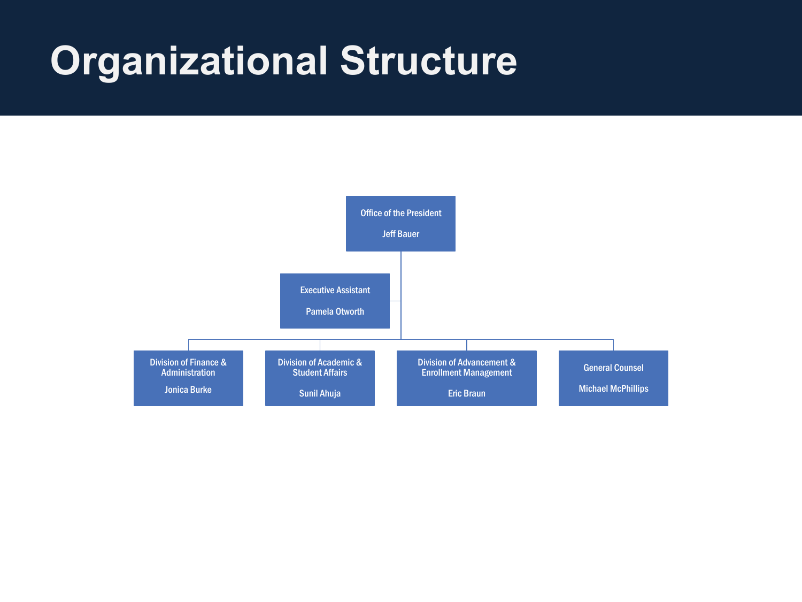## **Organizational Structure**

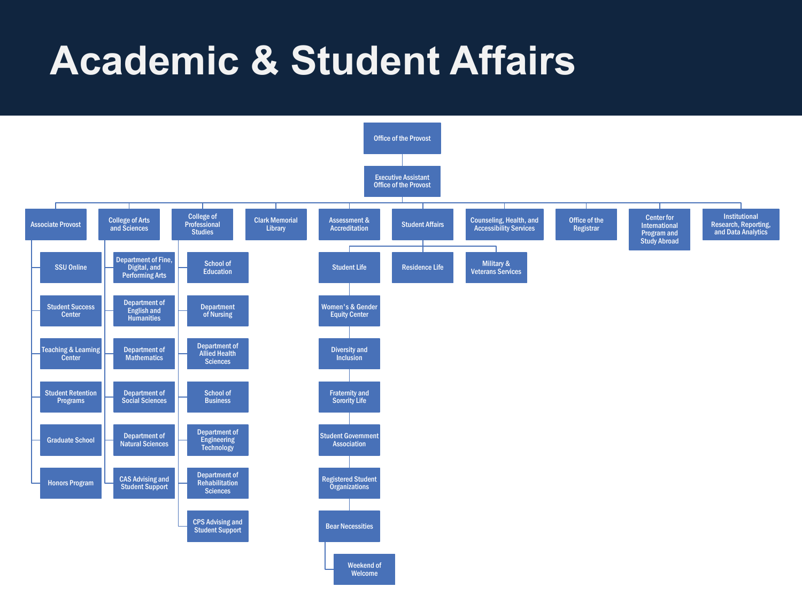## **Academic & Student Affairs**

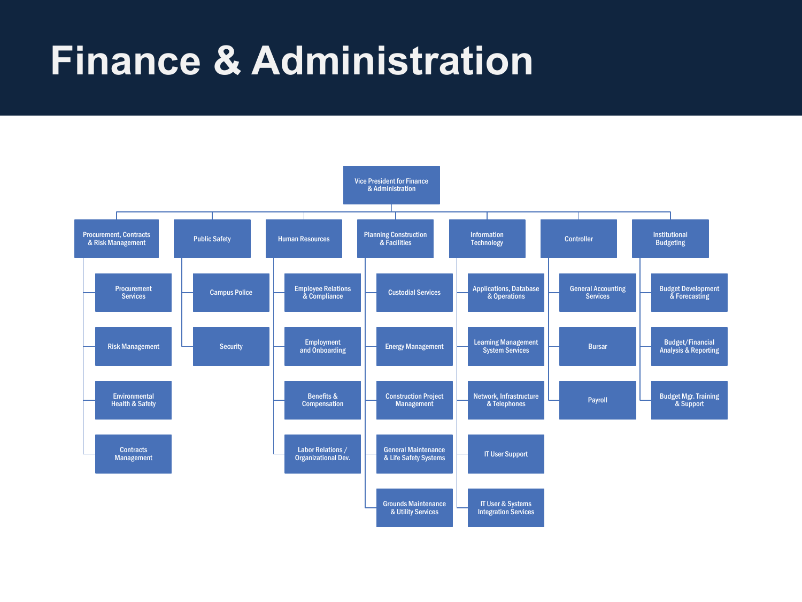## **Finance & Administration**